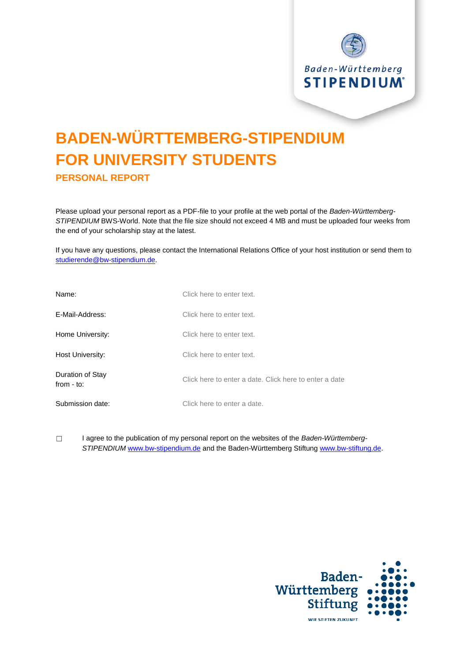

# **BADEN-WÜRTTEMBERG-STIPENDIUM FOR UNIVERSITY STUDENTS PERSONAL REPORT**

Please upload your personal report as a PDF-file to your profile at the web portal of the *Baden-Württemberg-STIPENDIUM* BWS-World. Note that the file size should not exceed 4 MB and must be uploaded four weeks from the end of your scholarship stay at the latest.

If you have any questions, please contact the International Relations Office of your host institution or send them to [studierende@bw-stipendium.de.](mailto:studierende@bw-stipendium.de)

| Name:                            | Click here to enter text.                              |
|----------------------------------|--------------------------------------------------------|
| E-Mail-Address:                  | Click here to enter text.                              |
| Home University:                 | Click here to enter text.                              |
| Host University:                 | Click here to enter text.                              |
| Duration of Stay<br>from $-$ to: | Click here to enter a date. Click here to enter a date |
| Submission date:                 | Click here to enter a date.                            |

☐ I agree to the publication of my personal report on the websites of the *Baden-Württemberg-STIPENDIUM* [www.bw-stipendium.de](http://www.bw-stipendium.de/) and the Baden-Württemberg Stiftun[g www.bw-stiftung.de.](http://www.bw-stiftung.de/)

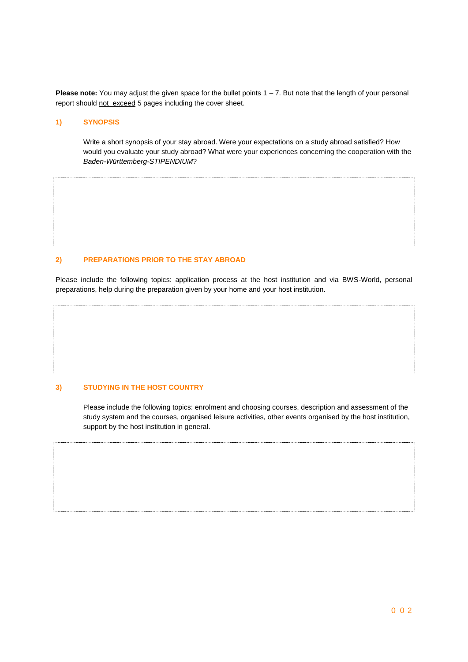**Please note:** You may adjust the given space for the bullet points 1 – 7. But note that the length of your personal report should not exceed 5 pages including the cover sheet.

#### **1) SYNOPSIS**

Write a short synopsis of your stay abroad. Were your expectations on a study abroad satisfied? How would you evaluate your study abroad? What were your experiences concerning the cooperation with the *Baden-Württemberg-STIPENDIUM*?

#### **2) PREPARATIONS PRIOR TO THE STAY ABROAD**

Please include the following topics: application process at the host institution and via BWS-World, personal preparations, help during the preparation given by your home and your host institution.

### **3) STUDYING IN THE HOST COUNTRY**

Please include the following topics: enrolment and choosing courses, description and assessment of the study system and the courses, organised leisure activities, other events organised by the host institution, support by the host institution in general.